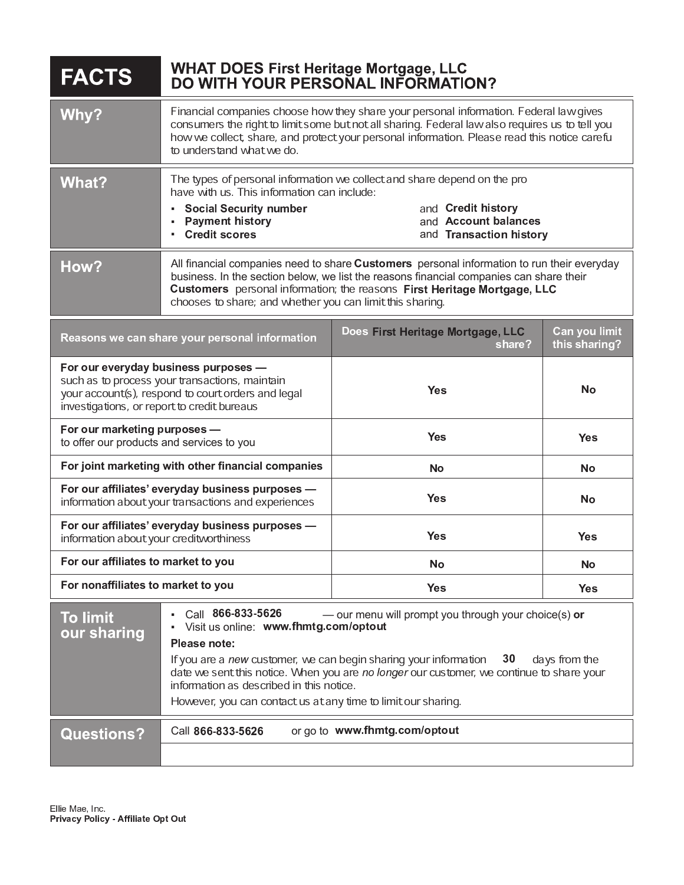| <b>FACTS</b>                                                                                                                                                                                | <b>WHAT DOES First Heritage Mortgage, LLC</b><br>DO WITH YOUR PERSONAL INFORMATION?                                                                                                                                                                                                                                                                                                                                                   |                                             |                                |
|---------------------------------------------------------------------------------------------------------------------------------------------------------------------------------------------|---------------------------------------------------------------------------------------------------------------------------------------------------------------------------------------------------------------------------------------------------------------------------------------------------------------------------------------------------------------------------------------------------------------------------------------|---------------------------------------------|--------------------------------|
| Why?                                                                                                                                                                                        | Financial companies choose how they share your personal information. Federal law gives<br>consumers the right to limit some but not all sharing. Federal law also requires us to tell you<br>how we collect, share, and protect your personal information. Please read this notice carefu<br>to understand what we do.                                                                                                                |                                             |                                |
| What?                                                                                                                                                                                       | The types of personal information we collect and share depend on the pro<br>have with us. This information can include:<br>and Credit history<br><b>Social Security number</b><br>and Account balances<br><b>Payment history</b><br><b>Credit scores</b><br>and Transaction history                                                                                                                                                   |                                             |                                |
| How?                                                                                                                                                                                        | All financial companies need to share Customers personal information to run their everyday<br>business. In the section below, we list the reasons financial companies can share their<br>Customers personal information; the reasons First Heritage Mortgage, LLC<br>chooses to share; and whether you can limit this sharing.                                                                                                        |                                             |                                |
| Reasons we can share your personal information                                                                                                                                              |                                                                                                                                                                                                                                                                                                                                                                                                                                       | Does First Heritage Mortgage, LLC<br>share? | Can you limit<br>this sharing? |
| For our everyday business purposes -<br>such as to process your transactions, maintain<br>your account(s), respond to court orders and legal<br>investigations, or report to credit bureaus |                                                                                                                                                                                                                                                                                                                                                                                                                                       | <b>Yes</b>                                  | <b>No</b>                      |
| For our marketing purposes -<br>to offer our products and services to you                                                                                                                   |                                                                                                                                                                                                                                                                                                                                                                                                                                       | <b>Yes</b>                                  | <b>Yes</b>                     |
| For joint marketing with other financial companies                                                                                                                                          |                                                                                                                                                                                                                                                                                                                                                                                                                                       | <b>No</b>                                   | <b>No</b>                      |
| For our affiliates' everyday business purposes -<br>information about your transactions and experiences                                                                                     |                                                                                                                                                                                                                                                                                                                                                                                                                                       | <b>Yes</b>                                  | No                             |
| For our affiliates' everyday business purposes -<br>information about your creditworthiness                                                                                                 |                                                                                                                                                                                                                                                                                                                                                                                                                                       | <b>Yes</b>                                  | <b>Yes</b>                     |
| For our affiliates to market to you                                                                                                                                                         |                                                                                                                                                                                                                                                                                                                                                                                                                                       | No                                          | <b>No</b>                      |
| For nonaffiliates to market to you                                                                                                                                                          |                                                                                                                                                                                                                                                                                                                                                                                                                                       | <b>Yes</b>                                  | <b>Yes</b>                     |
| <b>To limit</b><br>our sharing                                                                                                                                                              | Call 866-833-5626<br>- our menu will prompt you through your choice(s) or<br>Visit us online: www.fhmtg.com/optout<br>Please note:<br>If you are a new customer, we can begin sharing your information<br>30<br>days from the<br>date we sent this notice. When you are no longer our customer, we continue to share your<br>information as described in this notice.<br>However, you can contactus at any time to limit our sharing. |                                             |                                |
| <b>Questions?</b>                                                                                                                                                                           | or go to www.fhmtg.com/optout<br>Call 866-833-5626                                                                                                                                                                                                                                                                                                                                                                                    |                                             |                                |